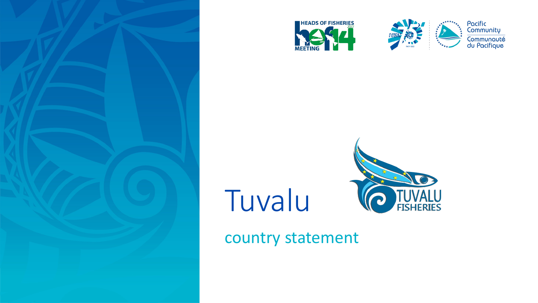





Pacific<br>Community Communauté<br>du Pacifique

## Tuvalu



country statement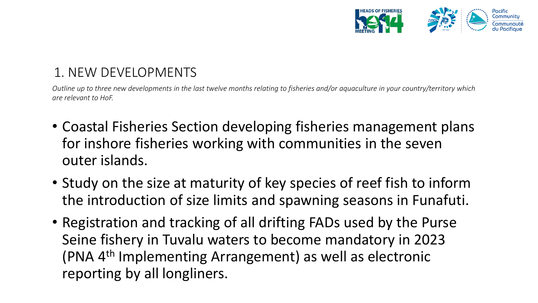

## 1. NEW DEVELOPMENTS

*Outline up to three new developments in the last twelve months relating to fisheries and/or aquaculture in your country/territory which are relevant to HoF.* 

- Coastal Fisheries Section developing fisheries management plans for inshore fisheries working with communities in the seven outer islands.
- Study on the size at maturity of key species of reef fish to inform the introduction of size limits and spawning seasons in Funafuti.
- Registration and tracking of all drifting FADs used by the Purse Seine fishery in Tuvalu waters to become mandatory in 2023 (PNA 4th Implementing Arrangement) as well as electronic reporting by all longliners.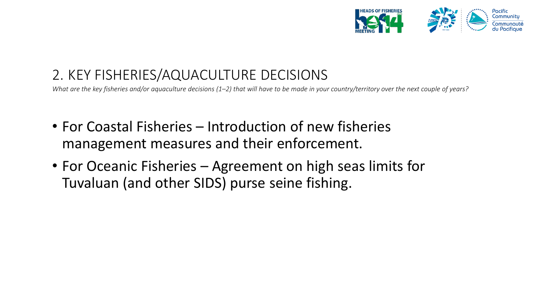

## 2. KEY FISHERIES/AQUACULTURE DECISIONS

*What are the key fisheries and/or aquaculture decisions (1–2) that will have to be made in your country/territory over the next couple of years?*

- For Coastal Fisheries Introduction of new fisheries management measures and their enforcement.
- For Oceanic Fisheries Agreement on high seas limits for Tuvaluan (and other SIDS) purse seine fishing.